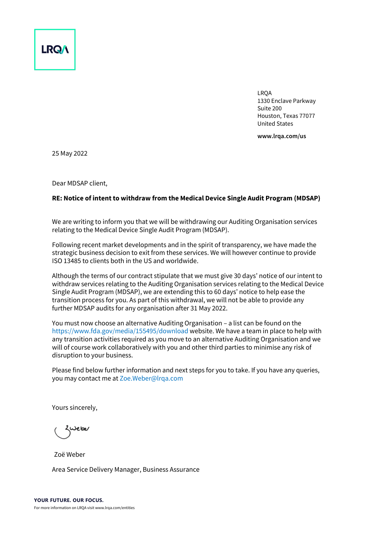

LRQA 1330 Enclave Parkway Suite 200 Houston, Texas 77077 United States

**www.lrqa.com/us**

25 May 2022

Dear MDSAP client,

#### **RE: Notice of intent to withdraw from the Medical Device Single Audit Program (MDSAP)**

We are writing to inform you that we will be withdrawing our Auditing Organisation services relating to the Medical Device Single Audit Program (MDSAP).

Following recent market developments and in the spirit of transparency, we have made the strategic business decision to exit from these services. We will however continue to provide ISO 13485 to clients both in the US and worldwide.

Although the terms of our contract stipulate that we must give 30 days' notice of our intent to withdraw services relating to the Auditing Organisation services relating to the Medical Device Single Audit Program (MDSAP), we are extending this to 60 days' notice to help ease the transition process for you. As part of this withdrawal, we will not be able to provide any further MDSAP audits for any organisation after 31 May 2022.

You must now choose an alternative Auditing Organisation – a list can be found on the <https://www.fda.gov/media/155495/download> website. We have a team in place to help with any transition activities required as you move to an alternative Auditing Organisation and we will of course work collaboratively with you and other third parties to minimise any risk of disruption to your business.

Please find below further information and next steps for you to take. If you have any queries, you may contact me at [Zoe.Weber@lrqa.com](mailto:Zoe.Weber@lrqa.com)

Yours sincerely,

Zoë Weber

Area Service Delivery Manager, Business Assurance